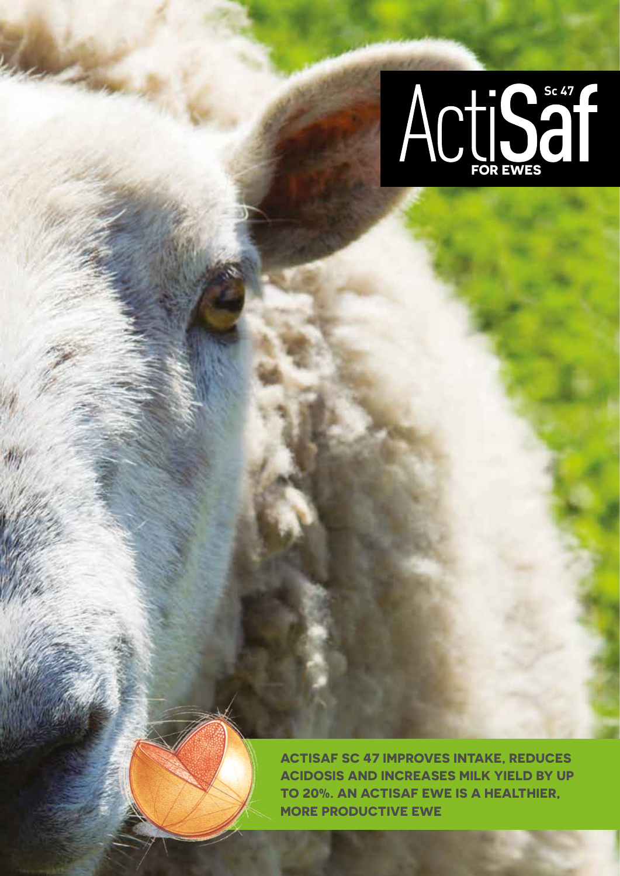

**Actisaf Sc 47 improves intake, reduces acidosis and increases milk yield by up to 20%. An Actisaf ewe is a healthier, more productive ewe**